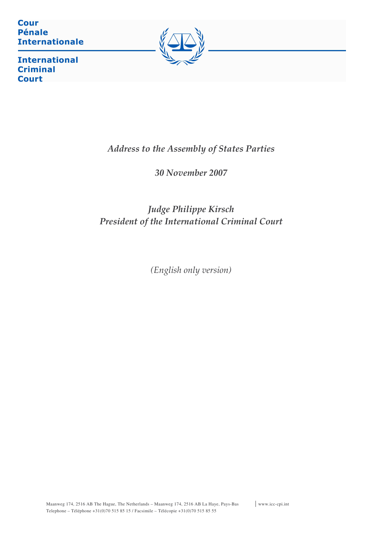**Cour Pénale Internationale** 



**International Criminal Court** 

# Address to the Assembly of States Parties

30 November 2007

# Judge Philippe Kirsch President of the International Criminal Court

(English only version)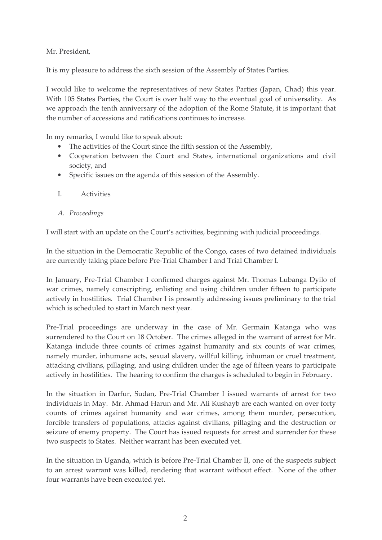Mr. President,

It is my pleasure to address the sixth session of the Assembly of States Parties.

I would like to welcome the representatives of new States Parties (Japan, Chad) this year. With 105 States Parties, the Court is over half way to the eventual goal of universality. As we approach the tenth anniversary of the adoption of the Rome Statute, it is important that the number of accessions and ratifications continues to increase.

In my remarks, I would like to speak about:

- The activities of the Court since the fifth session of the Assembly,
- Cooperation between the Court and States, international organizations and civil society, and
- Specific issues on the agenda of this session of the Assembly.
- $\overline{L}$ Activities
- A. Proceedings

I will start with an update on the Court's activities, beginning with judicial proceedings.

In the situation in the Democratic Republic of the Congo, cases of two detained individuals are currently taking place before Pre-Trial Chamber I and Trial Chamber I.

In January, Pre-Trial Chamber I confirmed charges against Mr. Thomas Lubanga Dyilo of war crimes, namely conscripting, enlisting and using children under fifteen to participate actively in hostilities. Trial Chamber I is presently addressing issues preliminary to the trial which is scheduled to start in March next year.

Pre-Trial proceedings are underway in the case of Mr. Germain Katanga who was surrendered to the Court on 18 October. The crimes alleged in the warrant of arrest for Mr. Katanga include three counts of crimes against humanity and six counts of war crimes, namely murder, inhumane acts, sexual slavery, willful killing, inhuman or cruel treatment, attacking civilians, pillaging, and using children under the age of fifteen years to participate actively in hostilities. The hearing to confirm the charges is scheduled to begin in February.

In the situation in Darfur, Sudan, Pre-Trial Chamber I issued warrants of arrest for two individuals in May. Mr. Ahmad Harun and Mr. Ali Kushayb are each wanted on over forty counts of crimes against humanity and war crimes, among them murder, persecution, forcible transfers of populations, attacks against civilians, pillaging and the destruction or seizure of enemy property. The Court has issued requests for arrest and surrender for these two suspects to States. Neither warrant has been executed yet.

In the situation in Uganda, which is before Pre-Trial Chamber II, one of the suspects subject to an arrest warrant was killed, rendering that warrant without effect. None of the other four warrants have been executed yet.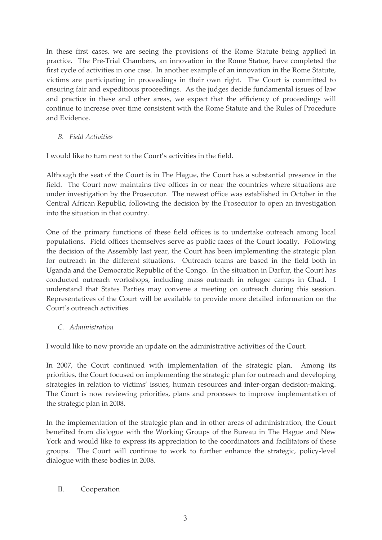In these first cases, we are seeing the provisions of the Rome Statute being applied in practice. The Pre-Trial Chambers, an innovation in the Rome Statue, have completed the first cycle of activities in one case. In another example of an innovation in the Rome Statute, victims are participating in proceedings in their own right. The Court is committed to ensuring fair and expeditious proceedings. As the judges decide fundamental issues of law and practice in these and other areas, we expect that the efficiency of proceedings will continue to increase over time consistent with the Rome Statute and the Rules of Procedure and Evidence.

**B.** Field Activities

I would like to turn next to the Court's activities in the field.

Although the seat of the Court is in The Hague, the Court has a substantial presence in the field. The Court now maintains five offices in or near the countries where situations are under investigation by the Prosecutor. The newest office was established in October in the Central African Republic, following the decision by the Prosecutor to open an investigation into the situation in that country.

One of the primary functions of these field offices is to undertake outreach among local populations. Field offices themselves serve as public faces of the Court locally. Following the decision of the Assembly last year, the Court has been implementing the strategic plan for outreach in the different situations. Outreach teams are based in the field both in Uganda and the Democratic Republic of the Congo. In the situation in Darfur, the Court has conducted outreach workshops, including mass outreach in refugee camps in Chad. I understand that States Parties may convene a meeting on outreach during this session. Representatives of the Court will be available to provide more detailed information on the Court's outreach activities.

C. Administration

I would like to now provide an update on the administrative activities of the Court.

In 2007, the Court continued with implementation of the strategic plan. Among its priorities, the Court focused on implementing the strategic plan for outreach and developing strategies in relation to victims' issues, human resources and inter-organ decision-making. The Court is now reviewing priorities, plans and processes to improve implementation of the strategic plan in 2008.

In the implementation of the strategic plan and in other areas of administration, the Court benefited from dialogue with the Working Groups of the Bureau in The Hague and New York and would like to express its appreciation to the coordinators and facilitators of these groups. The Court will continue to work to further enhance the strategic, policy-level dialogue with these bodies in 2008.

#### II. Cooperation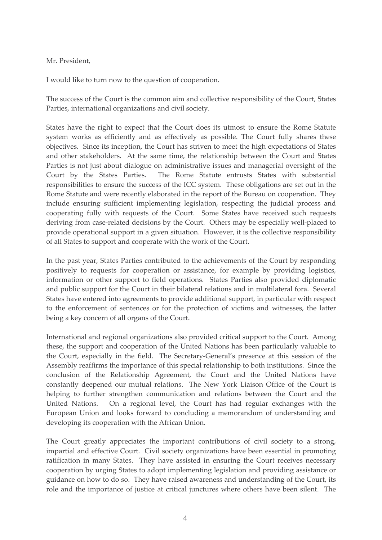### Mr. President,

I would like to turn now to the question of cooperation.

The success of the Court is the common aim and collective responsibility of the Court, States Parties, international organizations and civil society.

States have the right to expect that the Court does its utmost to ensure the Rome Statute system works as efficiently and as effectively as possible. The Court fully shares these objectives. Since its inception, the Court has striven to meet the high expectations of States and other stakeholders. At the same time, the relationship between the Court and States Parties is not just about dialogue on administrative issues and managerial oversight of the Court by the States Parties. The Rome Statute entrusts States with substantial responsibilities to ensure the success of the ICC system. These obligations are set out in the Rome Statute and were recently elaborated in the report of the Bureau on cooperation. They include ensuring sufficient implementing legislation, respecting the judicial process and cooperating fully with requests of the Court. Some States have received such requests deriving from case-related decisions by the Court. Others may be especially well-placed to provide operational support in a given situation. However, it is the collective responsibility of all States to support and cooperate with the work of the Court.

In the past year, States Parties contributed to the achievements of the Court by responding positively to requests for cooperation or assistance, for example by providing logistics, information or other support to field operations. States Parties also provided diplomatic and public support for the Court in their bilateral relations and in multilateral fora. Several States have entered into agreements to provide additional support, in particular with respect to the enforcement of sentences or for the protection of victims and witnesses, the latter being a key concern of all organs of the Court.

International and regional organizations also provided critical support to the Court. Among these, the support and cooperation of the United Nations has been particularly valuable to the Court, especially in the field. The Secretary-General's presence at this session of the Assembly reaffirms the importance of this special relationship to both institutions. Since the conclusion of the Relationship Agreement, the Court and the United Nations have constantly deepened our mutual relations. The New York Liaison Office of the Court is helping to further strengthen communication and relations between the Court and the On a regional level, the Court has had regular exchanges with the United Nations. European Union and looks forward to concluding a memorandum of understanding and developing its cooperation with the African Union.

The Court greatly appreciates the important contributions of civil society to a strong, impartial and effective Court. Civil society organizations have been essential in promoting ratification in many States. They have assisted in ensuring the Court receives necessary cooperation by urging States to adopt implementing legislation and providing assistance or guidance on how to do so. They have raised awareness and understanding of the Court, its role and the importance of justice at critical junctures where others have been silent. The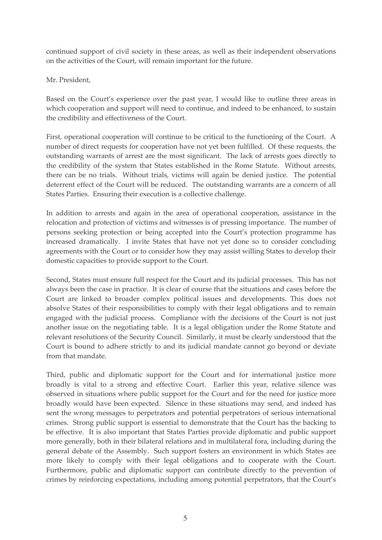continued support of civil society in these areas, as well as their independent observations on the activities of the Court, will remain important for the future.

Mr. President,

Based on the Court's experience over the past year, I would like to outline three areas in which cooperation and support will need to continue, and indeed to be enhanced, to sustain the credibility and effectiveness of the Court.

First, operational cooperation will continue to be critical to the functioning of the Court. A number of direct requests for cooperation have not yet been fulfilled. Of these requests, the outstanding warrants of arrest are the most significant. The lack of arrests goes directly to the credibility of the system that States established in the Rome Statute. Without arrests, there can be no trials. Without trials, victims will again be denied justice. The potential deterrent effect of the Court will be reduced. The outstanding warrants are a concern of all States Parties. Ensuring their execution is a collective challenge.

In addition to arrests and again in the area of operational cooperation, assistance in the relocation and protection of victims and witnesses is of pressing importance. The number of persons seeking protection or being accepted into the Court's protection programme has increased dramatically. I invite States that have not yet done so to consider concluding agreements with the Court or to consider how they may assist willing States to develop their domestic capacities to provide support to the Court.

Second, States must ensure full respect for the Court and its judicial processes. This has not always been the case in practice. It is clear of course that the situations and cases before the Court are linked to broader complex political issues and developments. This does not absolve States of their responsibilities to comply with their legal obligations and to remain engaged with the judicial process. Compliance with the decisions of the Court is not just another issue on the negotiating table. It is a legal obligation under the Rome Statute and relevant resolutions of the Security Council. Similarly, it must be clearly understood that the Court is bound to adhere strictly to and its judicial mandate cannot go beyond or deviate from that mandate.

Third, public and diplomatic support for the Court and for international justice more broadly is vital to a strong and effective Court. Earlier this year, relative silence was observed in situations where public support for the Court and for the need for justice more broadly would have been expected. Silence in these situations may send, and indeed has sent the wrong messages to perpetrators and potential perpetrators of serious international crimes. Strong public support is essential to demonstrate that the Court has the backing to be effective. It is also important that States Parties provide diplomatic and public support more generally, both in their bilateral relations and in multilateral fora, including during the general debate of the Assembly. Such support fosters an environment in which States are more likely to comply with their legal obligations and to cooperate with the Court. Furthermore, public and diplomatic support can contribute directly to the prevention of crimes by reinforcing expectations, including among potential perpetrators, that the Court's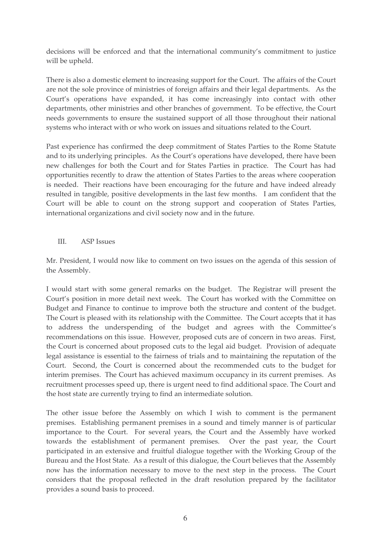decisions will be enforced and that the international community's commitment to justice will be upheld.

There is also a domestic element to increasing support for the Court. The affairs of the Court are not the sole province of ministries of foreign affairs and their legal departments. As the Court's operations have expanded, it has come increasingly into contact with other departments, other ministries and other branches of government. To be effective, the Court needs governments to ensure the sustained support of all those throughout their national systems who interact with or who work on issues and situations related to the Court.

Past experience has confirmed the deep commitment of States Parties to the Rome Statute and to its underlying principles. As the Court's operations have developed, there have been new challenges for both the Court and for States Parties in practice. The Court has had opportunities recently to draw the attention of States Parties to the areas where cooperation is needed. Their reactions have been encouraging for the future and have indeed already resulted in tangible, positive developments in the last few months. I am confident that the Court will be able to count on the strong support and cooperation of States Parties, international organizations and civil society now and in the future.

### $III.$ **ASP** Issues

Mr. President, I would now like to comment on two issues on the agenda of this session of the Assembly.

I would start with some general remarks on the budget. The Registrar will present the Court's position in more detail next week. The Court has worked with the Committee on Budget and Finance to continue to improve both the structure and content of the budget. The Court is pleased with its relationship with the Committee. The Court accepts that it has to address the underspending of the budget and agrees with the Committee's recommendations on this issue. However, proposed cuts are of concern in two areas. First, the Court is concerned about proposed cuts to the legal aid budget. Provision of adequate legal assistance is essential to the fairness of trials and to maintaining the reputation of the Court. Second, the Court is concerned about the recommended cuts to the budget for interim premises. The Court has achieved maximum occupancy in its current premises. As recruitment processes speed up, there is urgent need to find additional space. The Court and the host state are currently trying to find an intermediate solution.

The other issue before the Assembly on which I wish to comment is the permanent premises. Establishing permanent premises in a sound and timely manner is of particular importance to the Court. For several years, the Court and the Assembly have worked towards the establishment of permanent premises. Over the past year, the Court participated in an extensive and fruitful dialogue together with the Working Group of the Bureau and the Host State. As a result of this dialogue, the Court believes that the Assembly now has the information necessary to move to the next step in the process. The Court considers that the proposal reflected in the draft resolution prepared by the facilitator provides a sound basis to proceed.